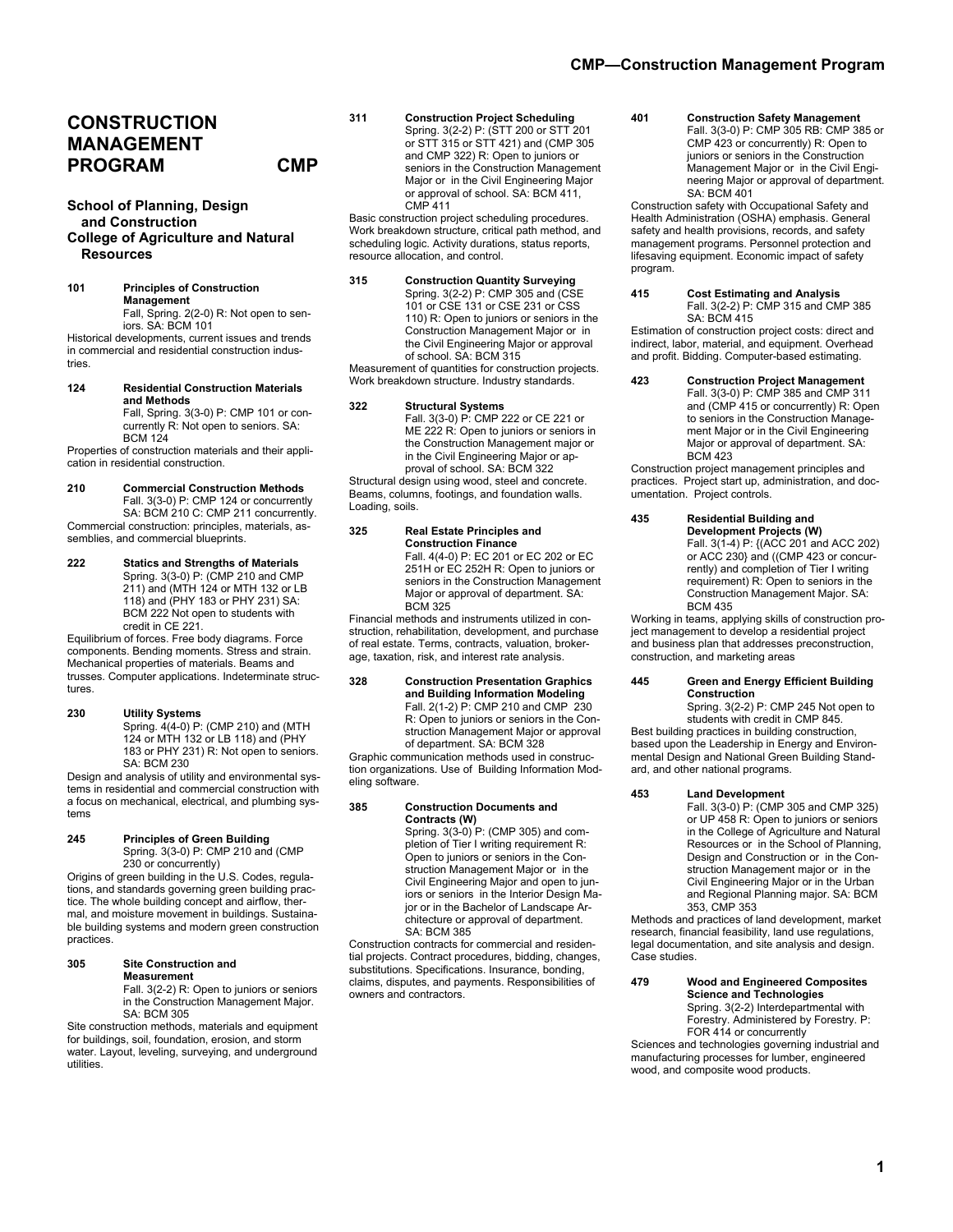# **CONSTRUCTION MANAGEMENT PROGRAM CMP**

# **School of Planning, Design and Construction College of Agriculture and Natural Resources**

**101 Principles of Construction Management**  Fall, Spring. 2(2-0) R: Not open to seniors. SA: BCM 101

Historical developments, current issues and trends in commercial and residential construction industries.

**124 Residential Construction Materials and Methods** Fall, Spring. 3(3-0) P: CMP 101 or concurrently R: Not open to seniors. SA: BCM 124

Properties of construction materials and their application in residential construction.

**210 Commercial Construction Methods**  Fall. 3(3-0) P: CMP 124 or concurrently

SA: BCM 210 C: CMP 211 concurrently. Commercial construction: principles, materials, assemblies, and commercial blueprints.

**222 Statics and Strengths of Materials**  Spring. 3(3-0) P: (CMP 210 and CMP 211) and (MTH 124 or MTH 132 or LB 118) and (PHY 183 or PHY 231) SA: BCM 222 Not open to students with credit in CE 221.

Equilibrium of forces. Free body diagrams. Force components. Bending moments. Stress and strain. Mechanical properties of materials. Beams and trusses. Computer applications. Indeterminate structures

# **230 Utility Systems**

Spring. 4(4-0) P: (CMP 210) and (MTH 124 or MTH 132 or LB 118) and (PHY 183 or PHY 231) R: Not open to seniors. SA: BCM 230

Design and analysis of utility and environmental systems in residential and commercial construction with a focus on mechanical, electrical, and plumbing systems

#### **245 Principles of Green Building**  Spring. 3(3-0) P: CMP 210 and (CMP 230 or concurrently)

Origins of green building in the U.S. Codes, regulations, and standards governing green building practice. The whole building concept and airflow, thermal, and moisture movement in buildings. Sustainable building systems and modern green construction practices.

**305 Site Construction and Measurement** 

 Fall. 3(2-2) R: Open to juniors or seniors in the Construction Management Major. SA: BCM 305

Site construction methods, materials and equipment for buildings, soil, foundation, erosion, and storm water. Layout, leveling, surveying, and underground utilities.

**311 Construction Project Scheduling** Spring. 3(2-2) P: (STT 200 or STT 201 or STT 315 or STT 421) and (CMP 305 and CMP 322) R: Open to juniors or seniors in the Construction Management Major or in the Civil Engineering Major or approval of school. SA: BCM 411, CMP 411

Basic construction project scheduling procedures. Work breakdown structure, critical path method, and scheduling logic. Activity durations, status reports, resource allocation, and control.

**315 Construction Quantity Surveying** Spring. 3(2-2) P: CMP 305 and (CSE 101 or CSE 131 or CSE 231 or CSS 110) R: Open to juniors or seniors in the Construction Management Major or in the Civil Engineering Major or approval of school. SA: BCM 315

Measurement of quantities for construction projects. Work breakdown structure. Industry standards.

**322 Structural Systems**  Fall. 3(3-0) P: CMP 222 or CE 221 or ME 222 R: Open to juniors or seniors in the Construction Management major or in the Civil Engineering Major or approval of school. SA: BCM 322

Structural design using wood, steel and concrete. Beams, columns, footings, and foundation walls. Loading, soils.

## **325 Real Estate Principles and Construction Finance**

Fall. 4(4-0) P: EC 201 or EC 202 or EC 251H or EC 252H R: Open to juniors or seniors in the Construction Management Major or approval of department. SA: BCM 325

Financial methods and instruments utilized in construction, rehabilitation, development, and purchase of real estate. Terms, contracts, valuation, brokerage, taxation, risk, and interest rate analysis.

#### **328 Construction Presentation Graphics and Building Information Modeling** Fall. 2(1-2) P: CMP 210 and CMP 230 R: Open to juniors or seniors in the Construction Management Major or approval of department. SA: BCM 328

Graphic communication methods used in construction organizations. Use of Building Information Modeling software.

# **385 Construction Documents and Contracts (W)**

Spring. 3(3-0) P: (CMP 305) and completion of Tier I writing requirement R: Open to juniors or seniors in the Construction Management Major or in the Civil Engineering Major and open to juniors or seniors in the Interior Design Major or in the Bachelor of Landscape Architecture or approval of department. SA: BCM 385

Construction contracts for commercial and residential projects. Contract procedures, bidding, changes, substitutions. Specifications. Insurance, bonding, claims, disputes, and payments. Responsibilities of owners and contractors.

**401 Construction Safety Management**  Fall. 3(3-0) P: CMP 305 RB: CMP 385 or CMP 423 or concurrently) R: Open to juniors or seniors in the Construction Management Major or in the Civil Engineering Major or approval of department. SA: BCM 401

Construction safety with Occupational Safety and Health Administration (OSHA) emphasis. General safety and health provisions, records, and safety management programs. Personnel protection and lifesaving equipment. Economic impact of safety program.

#### **415 Cost Estimating and Analysis**  Fall. 3(2-2) P: CMP 315 and CMP 385 SA: BCM 415

Estimation of construction project costs: direct and indirect, labor, material, and equipment. Overhead and profit. Bidding. Computer-based estimating.

**423 Construction Project Management**  Fall. 3(3-0) P: CMP 385 and CMP 311 and (CMP 415 or concurrently) R: Open to seniors in the Construction Management Major or in the Civil Engineering Major or approval of department. SA: BCM 423

Construction project management principles and practices. Project start up, administration, and documentation. Project controls.

**435 Residential Building and Development Projects (W)**  Fall. 3(1-4) P: {(ACC 201 and ACC 202) or ACC 230} and ((CMP 423 or concurrently) and completion of Tier I writing requirement) R: Open to seniors in the Construction Management Major. SA: BCM 435

Working in teams, applying skills of construction project management to develop a residential project and business plan that addresses preconstruction, construction, and marketing areas

# **445 Green and Energy Efficient Building Construction**

Spring. 3(2-2) P: CMP 245 Not open to students with credit in CMP 845.

Best building practices in building construction, based upon the Leadership in Energy and Environmental Design and National Green Building Standard, and other national programs.

**453 Land Development** 

Fall. 3(3-0) P: (CMP 305 and CMP 325) or UP 458 R: Open to juniors or seniors in the College of Agriculture and Natural Resources or in the School of Planning, Design and Construction or in the Construction Management major or in the Civil Engineering Major or in the Urban and Regional Planning major. SA: BCM 353, CMP 353

Methods and practices of land development, market research, financial feasibility, land use regulations, legal documentation, and site analysis and design. Case studies.

**479 Wood and Engineered Composites Science and Technologies** Spring. 3(2-2) Interdepartmental with Forestry. Administered by Forestry. P: FOR 414 or concurrently

Sciences and technologies governing industrial and manufacturing processes for lumber, engineered wood, and composite wood products.